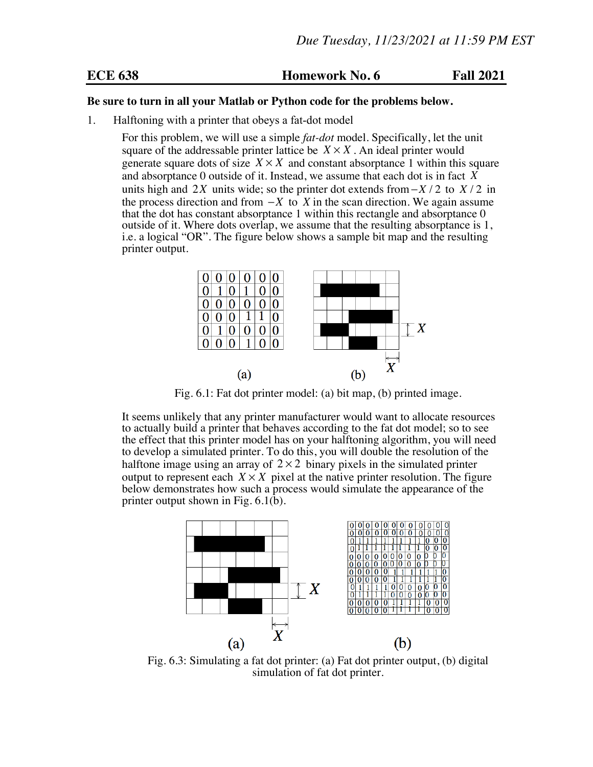**ECE 638 Homework No. 6 Fall 2021**

## **Be sure to turn in all your Matlab or Python code for the problems below.**

1. Halftoning with a printer that obeys a fat-dot model

For this problem, we will use a simple *fat-dot* model. Specifically, let the unit square of the addressable printer lattice be  $X \times X$ . An ideal printer would generate square dots of size  $X \times X$  and constant absorptance 1 within this square and absorptance 0 outside of it. Instead, we assume that each dot is in fact *X* units high and 2*X* units wide; so the printer dot extends from−*X* / 2 to *X* / 2 in the process direction and from  $-X$  to *X* in the scan direction. We again assume that the dot has constant absorptance 1 within this rectangle and absorptance 0 outside of it. Where dots overlap, we assume that the resulting absorptance is 1, i.e. a logical "OR". The figure below shows a sample bit map and the resulting printer output.



Fig. 6.1: Fat dot printer model: (a) bit map, (b) printed image.

It seems unlikely that any printer manufacturer would want to allocate resources to actually build a printer that behaves according to the fat dot model; so to see the effect that this printer model has on your halftoning algorithm, you will need to develop a simulated printer. To do this, you will double the resolution of the halftone image using an array of  $2 \times 2$  binary pixels in the simulated printer output to represent each  $X \times X$  pixel at the native printer resolution. The figure below demonstrates how such a process would simulate the appearance of the printer output shown in Fig. 6.1(b).



Fig. 6.3: Simulating a fat dot printer: (a) Fat dot printer output, (b) digital simulation of fat dot printer.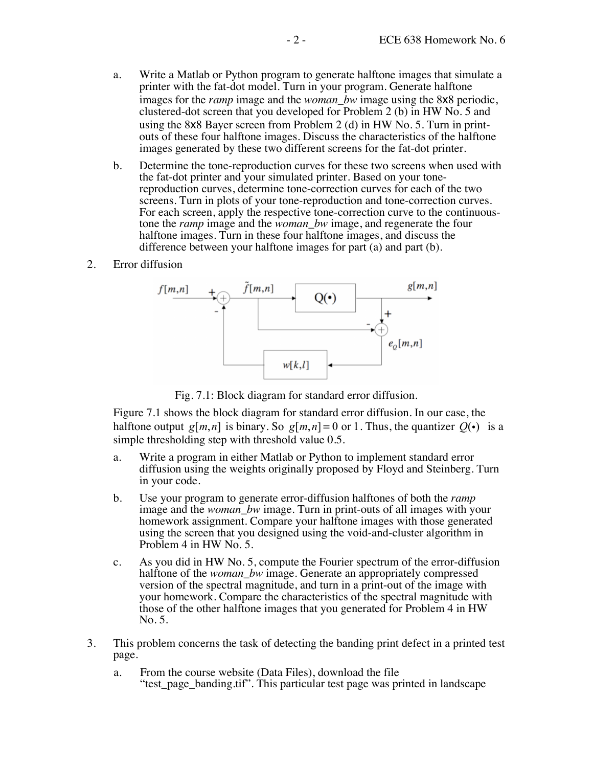- a. Write a Matlab or Python program to generate halftone images that simulate a printer with the fat-dot model. Turn in your program. Generate halftone images for the *ramp* image and the *woman\_bw* image using the 8x8 periodic, clustered-dot screen that you developed for Problem 2 (b) in HW No. 5 and using the 8x8 Bayer screen from Problem 2 (d) in HW No. 5. Turn in printouts of these four halftone images. Discuss the characteristics of the halftone images generated by these two different screens for the fat-dot printer.
- b. Determine the tone-reproduction curves for these two screens when used with the fat-dot printer and your simulated printer. Based on your tonereproduction curves, determine tone-correction curves for each of the two screens. Turn in plots of your tone-reproduction and tone-correction curves.<br>For each screen, apply the respective tone-correction curve to the continuoustone the *ramp* image and the *woman\_bw* image, and regenerate the four halftone images. Turn in these four halftone images, and discuss the difference between your halftone images for part (a) and part (b).
- 2. Error diffusion



Fig. 7.1: Block diagram for standard error diffusion.

Figure 7.1 shows the block diagram for standard error diffusion. In our case, the halftone output *g*[*m*,*n*] is binary. So *g*[*m*,*n*] = 0 or 1. Thus, the quantizer  $Q(\cdot)$  is a simple thresholding step with threshold value 0.5.

- a. Write a program in either Matlab or Python to implement standard error diffusion using the weights originally proposed by Floyd and Steinberg. Turn in your code.
- b. Use your program to generate error-diffusion halftones of both the *ramp* image and the *woman\_bw* image. Turn in print-outs of all images with your homework assignment. Compare your halftone images with those generated using the screen that you designed using the void-and-cluster algorithm in Problem 4 in HW No. 5.
- c. As you did in HW No. 5, compute the Fourier spectrum of the error-diffusion halftone of the *woman\_bw* image. Generate an appropriately compressed version of the spectral magnitude, and turn in a print-out of the image with your homework. Compare the characteristics of the spectral magnitude with those of the other halftone images that you generated for Problem 4 in HW No. 5.
- 3. This problem concerns the task of detecting the banding print defect in a printed test page.
	- a. From the course website (Data Files), download the file "test\_page\_banding.tif". This particular test page was printed in landscape